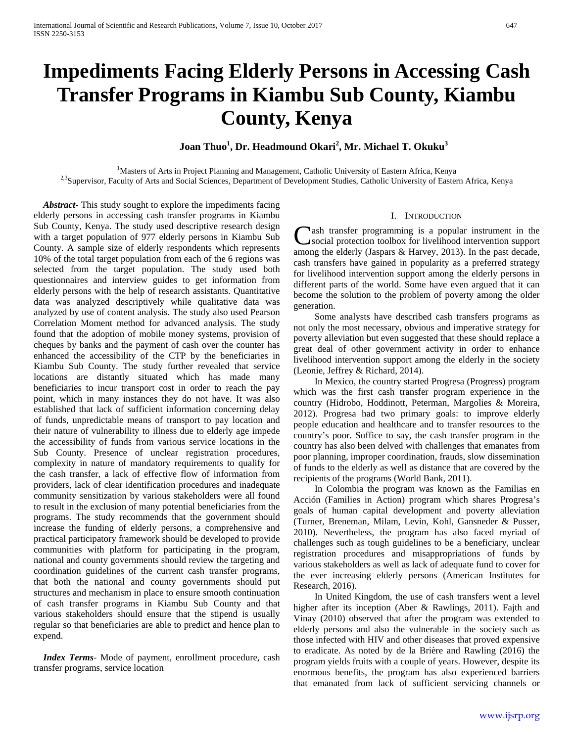# **Impediments Facing Elderly Persons in Accessing Cash Transfer Programs in Kiambu Sub County, Kiambu County, Kenya**

 $\rm{Joan}$  Thuo $^1$ , Dr. Headmound Okari $^2$ , Mr. Michael T. Okuku $^3$ 

<sup>1</sup>Masters of Arts in Project Planning and Management, Catholic University of Eastern Africa, Kenya <sup>2,3</sup>Supervisor, Faculty of Arts and Social Sciences, Department of Development Studies, Catholic University of Eastern Africa, Kenya

 *Abstract***-** This study sought to explore the impediments facing elderly persons in accessing cash transfer programs in Kiambu Sub County, Kenya. The study used descriptive research design with a target population of 977 elderly persons in Kiambu Sub County. A sample size of elderly respondents which represents 10% of the total target population from each of the 6 regions was selected from the target population. The study used both questionnaires and interview guides to get information from elderly persons with the help of research assistants. Quantitative data was analyzed descriptively while qualitative data was analyzed by use of content analysis. The study also used Pearson Correlation Moment method for advanced analysis. The study found that the adoption of mobile money systems, provision of cheques by banks and the payment of cash over the counter has enhanced the accessibility of the CTP by the beneficiaries in Kiambu Sub County. The study further revealed that service locations are distantly situated which has made many beneficiaries to incur transport cost in order to reach the pay point, which in many instances they do not have. It was also established that lack of sufficient information concerning delay of funds, unpredictable means of transport to pay location and their nature of vulnerability to illness due to elderly age impede the accessibility of funds from various service locations in the Sub County. Presence of unclear registration procedures, complexity in nature of mandatory requirements to qualify for the cash transfer, a lack of effective flow of information from providers, lack of clear identification procedures and inadequate community sensitization by various stakeholders were all found to result in the exclusion of many potential beneficiaries from the programs. The study recommends that the government should increase the funding of elderly persons, a comprehensive and practical participatory framework should be developed to provide communities with platform for participating in the program, national and county governments should review the targeting and coordination guidelines of the current cash transfer programs, that both the national and county governments should put structures and mechanism in place to ensure smooth continuation of cash transfer programs in Kiambu Sub County and that various stakeholders should ensure that the stipend is usually regular so that beneficiaries are able to predict and hence plan to expend.

 *Index Terms*- Mode of payment, enrollment procedure, cash transfer programs, service location

## I. INTRODUCTION

**Lash transfer programming is a popular instrument in the** social protection toolbox for livelihood intervention support **C**ash transfer programming is a popular instrument in the social protection toolbox for livelihood intervention support among the elderly (Jaspars & Harvey, 2013). In the past decade, cash transfers have gained in popularity as a preferred strategy for livelihood intervention support among the elderly persons in different parts of the world. Some have even argued that it can become the solution to the problem of poverty among the older generation.

 Some analysts have described cash transfers programs as not only the most necessary, obvious and imperative strategy for poverty alleviation but even suggested that these should replace a great deal of other government activity in order to enhance livelihood intervention support among the elderly in the society (Leonie, Jeffrey & Richard, 2014).

 In Mexico, the country started Progresa (Progress) program which was the first cash transfer program experience in the country (Hidrobo, Hoddinott, Peterman, Margolies & Moreira, 2012). Progresa had two primary goals: to improve elderly people education and healthcare and to transfer resources to the country's poor. Suffice to say, the cash transfer program in the country has also been delved with challenges that emanates from poor planning, improper coordination, frauds, slow dissemination of funds to the elderly as well as distance that are covered by the recipients of the programs (World Bank, 2011).

 In Colombia the program was known as the Familias en Acción (Families in Action) program which shares Progresa's goals of human capital development and poverty alleviation (Turner, Breneman, Milam, Levin, Kohl, Gansneder & Pusser, 2010). Nevertheless, the program has also faced myriad of challenges such as tough guidelines to be a beneficiary, unclear registration procedures and misappropriations of funds by various stakeholders as well as lack of adequate fund to cover for the ever increasing elderly persons (American Institutes for Research, 2016).

 In United Kingdom, the use of cash transfers went a level higher after its inception (Aber & Rawlings, 2011). Fajth and Vinay (2010) observed that after the program was extended to elderly persons and also the vulnerable in the society such as those infected with HIV and other diseases that proved expensive to eradicate. As noted by de la Brière and Rawling (2016) the program yields fruits with a couple of years. However, despite its enormous benefits, the program has also experienced barriers that emanated from lack of sufficient servicing channels or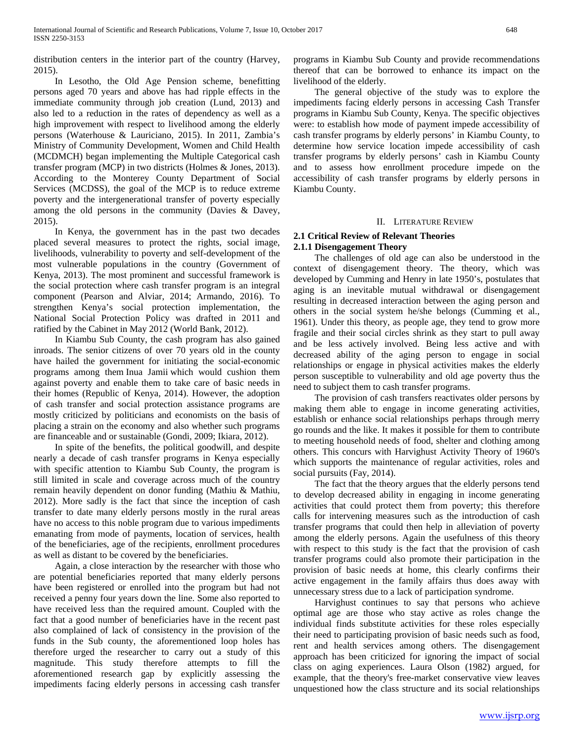distribution centers in the interior part of the country (Harvey, 2015).

 In Lesotho, the Old Age Pension scheme, benefitting persons aged 70 years and above has had ripple effects in the immediate community through job creation (Lund, 2013) and also led to a reduction in the rates of dependency as well as a high improvement with respect to livelihood among the elderly persons (Waterhouse & Lauriciano, 2015). In 2011, Zambia's Ministry of Community Development, Women and Child Health (MCDMCH) began implementing the Multiple Categorical cash transfer program (MCP) in two districts (Holmes & Jones, 2013). According to the Monterey County Department of Social Services (MCDSS), the goal of the MCP is to reduce extreme poverty and the intergenerational transfer of poverty especially among the old persons in the community (Davies & Davey, 2015).

 In Kenya, the government has in the past two decades placed several measures to protect the rights, social image, livelihoods, vulnerability to poverty and self-development of the most vulnerable populations in the country (Government of Kenya, 2013). The most prominent and successful framework is the social protection where cash transfer program is an integral component (Pearson and Alviar, 2014; Armando, 2016). To strengthen Kenya's social protection implementation, the National Social Protection Policy was drafted in 2011 and ratified by the Cabinet in May 2012 (World Bank, 2012).

 In Kiambu Sub County, the cash program has also gained inroads. The senior citizens of over 70 years old in the county have hailed the government for initiating the social-economic programs among them Inua Jamii which would cushion them against poverty and enable them to take care of basic needs in their homes (Republic of Kenya, 2014). However, the adoption of cash transfer and social protection assistance programs are mostly criticized by politicians and economists on the basis of placing a strain on the economy and also whether such programs are financeable and or sustainable (Gondi, 2009; Ikiara, 2012).

 In spite of the benefits, the political goodwill, and despite nearly a decade of cash transfer programs in Kenya especially with specific attention to Kiambu Sub County, the program is still limited in scale and coverage across much of the country remain heavily dependent on donor funding (Mathiu & Mathiu, 2012). More sadly is the fact that since the inception of cash transfer to date many elderly persons mostly in the rural areas have no access to this noble program due to various impediments emanating from mode of payments, location of services, health of the beneficiaries, age of the recipients, enrollment procedures as well as distant to be covered by the beneficiaries.

 Again, a close interaction by the researcher with those who are potential beneficiaries reported that many elderly persons have been registered or enrolled into the program but had not received a penny four years down the line. Some also reported to have received less than the required amount. Coupled with the fact that a good number of beneficiaries have in the recent past also complained of lack of consistency in the provision of the funds in the Sub county, the aforementioned loop holes has therefore urged the researcher to carry out a study of this magnitude. This study therefore attempts to fill the aforementioned research gap by explicitly assessing the impediments facing elderly persons in accessing cash transfer

programs in Kiambu Sub County and provide recommendations thereof that can be borrowed to enhance its impact on the livelihood of the elderly.

 The general objective of the study was to explore the impediments facing elderly persons in accessing Cash Transfer programs in Kiambu Sub County, Kenya. The specific objectives were: to establish how mode of payment impede accessibility of cash transfer programs by elderly persons' in Kiambu County, to determine how service location impede accessibility of cash transfer programs by elderly persons' cash in Kiambu County and to assess how enrollment procedure impede on the accessibility of cash transfer programs by elderly persons in Kiambu County.

#### II. LITERATURE REVIEW

# **2.1 Critical Review of Relevant Theories**

## **2.1.1 Disengagement Theory**

 The challenges of old age can also be understood in the context of disengagement theory. The theory, which was developed by Cumming and Henry in late 1950's, postulates that aging is an inevitable mutual withdrawal or disengagement resulting in decreased interaction between the aging person and others in the social system he/she belongs (Cumming et al., 1961). Under this theory, as people age, they tend to grow more fragile and their social circles shrink as they start to pull away and be less actively involved. Being less active and with decreased ability of the aging person to engage in social relationships or engage in physical activities makes the elderly person susceptible to vulnerability and old age poverty thus the need to subject them to cash transfer programs.

 The provision of cash transfers reactivates older persons by making them able to engage in income generating activities, establish or enhance social relationships perhaps through merry go rounds and the like. It makes it possible for them to contribute to meeting household needs of food, shelter and clothing among others. This concurs with Harvighust Activity Theory of 1960's which supports the maintenance of regular activities, roles and social pursuits (Fay, 2014).

 The fact that the theory argues that the elderly persons tend to develop decreased ability in engaging in income generating activities that could protect them from poverty; this therefore calls for intervening measures such as the introduction of cash transfer programs that could then help in alleviation of poverty among the elderly persons. Again the usefulness of this theory with respect to this study is the fact that the provision of cash transfer programs could also promote their participation in the provision of basic needs at home, this clearly confirms their active engagement in the family affairs thus does away with unnecessary stress due to a lack of participation syndrome.

 Harvighust continues to say that persons who achieve optimal age are those who stay active as roles change the individual finds substitute activities for these roles especially their need to participating provision of basic needs such as food, rent and health services among others. The disengagement approach has been criticized for ignoring the impact of social class on aging experiences. Laura Olson (1982) argued, for example, that the theory's free-market conservative view leaves unquestioned how the class structure and its social relationships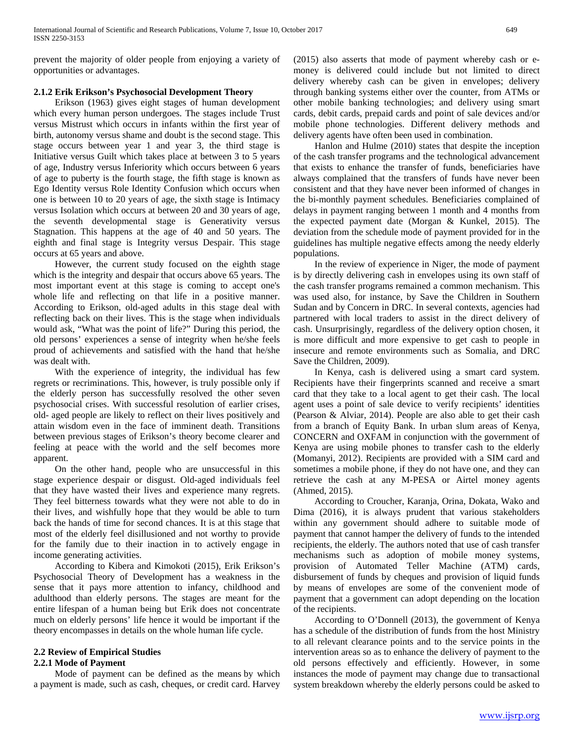prevent the majority of older people from enjoying a variety of opportunities or advantages.

## **2.1.2 Erik Erikson's Psychosocial Development Theory**

 Erikson (1963) gives eight stages of human development which every human person undergoes. The stages include Trust versus Mistrust which occurs in infants within the first year of birth, autonomy versus shame and doubt is the second stage. This stage occurs between year 1 and year 3, the third stage is Initiative versus Guilt which takes place at between 3 to 5 years of age, Industry versus Inferiority which occurs between 6 years of age to puberty is the fourth stage, the fifth stage is known as Ego Identity versus Role Identity Confusion which occurs when one is between 10 to 20 years of age, the sixth stage is Intimacy versus Isolation which occurs at between 20 and 30 years of age, the seventh developmental stage is Generativity versus Stagnation. This happens at the age of 40 and 50 years. The eighth and final stage is Integrity versus Despair. This stage occurs at 65 years and above.

 However, the current study focused on the eighth stage which is the integrity and despair that occurs above 65 years. The most important event at this stage is coming to accept one's whole life and reflecting on that life in a positive manner. According to Erikson, old-aged adults in this stage deal with reflecting back on their lives. This is the stage when individuals would ask, "What was the point of life?" During this period, the old persons' experiences a sense of integrity when he/she feels proud of achievements and satisfied with the hand that he/she was dealt with.

 With the experience of integrity, the individual has few regrets or recriminations. This, however, is truly possible only if the elderly person has successfully resolved the other seven psychosocial crises. With successful resolution of earlier crises, old- aged people are likely to reflect on their lives positively and attain wisdom even in the face of imminent death. Transitions between previous stages of Erikson's theory become clearer and feeling at peace with the world and the self becomes more apparent.

 On the other hand, people who are unsuccessful in this stage experience despair or disgust. Old-aged individuals feel that they have wasted their lives and experience many regrets. They feel bitterness towards what they were not able to do in their lives, and wishfully hope that they would be able to turn back the hands of time for second chances. It is at this stage that most of the elderly feel disillusioned and not worthy to provide for the family due to their inaction in to actively engage in income generating activities.

 According to Kibera and Kimokoti (2015), Erik Erikson's Psychosocial Theory of Development has a weakness in the sense that it pays more attention to infancy, childhood and adulthood than elderly persons. The stages are meant for the entire lifespan of a human being but Erik does not concentrate much on elderly persons' life hence it would be important if the theory encompasses in details on the whole human life cycle.

# **2.2 Review of Empirical Studies**

# **2.2.1 Mode of Payment**

 Mode of payment can be defined as the means by which a payment is made, such as cash, cheques, or credit card. Harvey

(2015) also asserts that mode of payment whereby cash or emoney is delivered could include but not limited to direct delivery whereby cash can be given in envelopes; delivery through banking systems either over the counter, from ATMs or other mobile banking technologies; and delivery using smart cards, debit cards, prepaid cards and point of sale devices and/or mobile phone technologies. Different delivery methods and delivery agents have often been used in combination.

 Hanlon and Hulme (2010) states that despite the inception of the cash transfer programs and the technological advancement that exists to enhance the transfer of funds, beneficiaries have always complained that the transfers of funds have never been consistent and that they have never been informed of changes in the bi-monthly payment schedules. Beneficiaries complained of delays in payment ranging between 1 month and 4 months from the expected payment date (Morgan & Kunkel, 2015). The deviation from the schedule mode of payment provided for in the guidelines has multiple negative effects among the needy elderly populations.

 In the review of experience in Niger, the mode of payment is by directly delivering cash in envelopes using its own staff of the cash transfer programs remained a common mechanism. This was used also, for instance, by Save the Children in Southern Sudan and by Concern in DRC. In several contexts, agencies had partnered with local traders to assist in the direct delivery of cash. Unsurprisingly, regardless of the delivery option chosen, it is more difficult and more expensive to get cash to people in insecure and remote environments such as Somalia, and DRC Save the Children, 2009).

 In Kenya, cash is delivered using a smart card system. Recipients have their fingerprints scanned and receive a smart card that they take to a local agent to get their cash. The local agent uses a point of sale device to verify recipients' identities (Pearson & Alviar, 2014). People are also able to get their cash from a branch of Equity Bank. In urban slum areas of Kenya, CONCERN and OXFAM in conjunction with the government of Kenya are using mobile phones to transfer cash to the elderly (Momanyi, 2012). Recipients are provided with a SIM card and sometimes a mobile phone, if they do not have one, and they can retrieve the cash at any M-PESA or Airtel money agents (Ahmed, 2015).

 According to Croucher, Karanja, Orina, Dokata, Wako and Dima (2016), it is always prudent that various stakeholders within any government should adhere to suitable mode of payment that cannot hamper the delivery of funds to the intended recipients, the elderly. The authors noted that use of cash transfer mechanisms such as adoption of mobile money systems, provision of Automated Teller Machine (ATM) cards, disbursement of funds by cheques and provision of liquid funds by means of envelopes are some of the convenient mode of payment that a government can adopt depending on the location of the recipients.

 According to O'Donnell (2013), the government of Kenya has a schedule of the distribution of funds from the host Ministry to all relevant clearance points and to the service points in the intervention areas so as to enhance the delivery of payment to the old persons effectively and efficiently. However, in some instances the mode of payment may change due to transactional system breakdown whereby the elderly persons could be asked to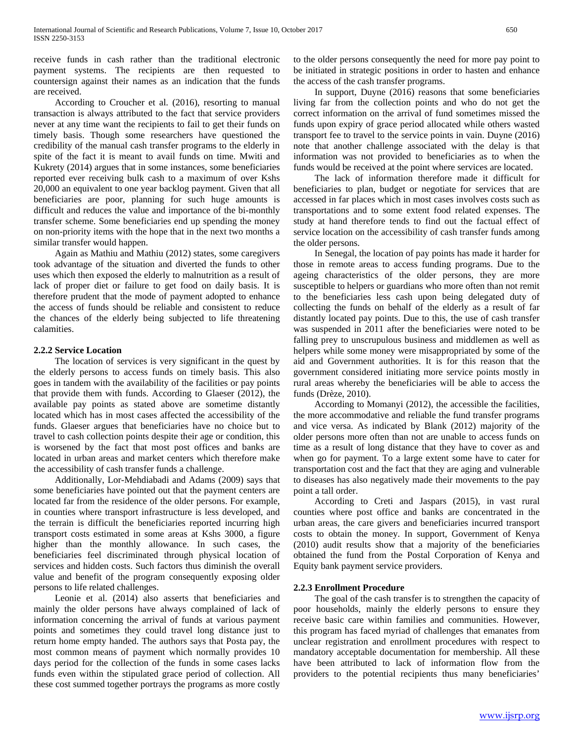receive funds in cash rather than the traditional electronic payment systems. The recipients are then requested to countersign against their names as an indication that the funds are received.

 According to Croucher et al. (2016), resorting to manual transaction is always attributed to the fact that service providers never at any time want the recipients to fail to get their funds on timely basis. Though some researchers have questioned the credibility of the manual cash transfer programs to the elderly in spite of the fact it is meant to avail funds on time. Mwiti and Kukrety (2014) argues that in some instances, some beneficiaries reported ever receiving bulk cash to a maximum of over Kshs 20,000 an equivalent to one year backlog payment. Given that all beneficiaries are poor, planning for such huge amounts is difficult and reduces the value and importance of the bi-monthly transfer scheme. Some beneficiaries end up spending the money on non-priority items with the hope that in the next two months a similar transfer would happen.

 Again as Mathiu and Mathiu (2012) states, some caregivers took advantage of the situation and diverted the funds to other uses which then exposed the elderly to malnutrition as a result of lack of proper diet or failure to get food on daily basis. It is therefore prudent that the mode of payment adopted to enhance the access of funds should be reliable and consistent to reduce the chances of the elderly being subjected to life threatening calamities.

## **2.2.2 Service Location**

 The location of services is very significant in the quest by the elderly persons to access funds on timely basis. This also goes in tandem with the availability of the facilities or pay points that provide them with funds. According to Glaeser (2012), the available pay points as stated above are sometime distantly located which has in most cases affected the accessibility of the funds. Glaeser argues that beneficiaries have no choice but to travel to cash collection points despite their age or condition, this is worsened by the fact that most post offices and banks are located in urban areas and market centers which therefore make the accessibility of cash transfer funds a challenge.

 Additionally, Lor-Mehdiabadi and Adams (2009) says that some beneficiaries have pointed out that the payment centers are located far from the residence of the older persons. For example, in counties where transport infrastructure is less developed, and the terrain is difficult the beneficiaries reported incurring high transport costs estimated in some areas at Kshs 3000, a figure higher than the monthly allowance. In such cases, the beneficiaries feel discriminated through physical location of services and hidden costs. Such factors thus diminish the overall value and benefit of the program consequently exposing older persons to life related challenges.

 Leonie et al. (2014) also asserts that beneficiaries and mainly the older persons have always complained of lack of information concerning the arrival of funds at various payment points and sometimes they could travel long distance just to return home empty handed. The authors says that Posta pay, the most common means of payment which normally provides 10 days period for the collection of the funds in some cases lacks funds even within the stipulated grace period of collection. All these cost summed together portrays the programs as more costly

to the older persons consequently the need for more pay point to be initiated in strategic positions in order to hasten and enhance the access of the cash transfer programs.

 In support, Duyne (2016) reasons that some beneficiaries living far from the collection points and who do not get the correct information on the arrival of fund sometimes missed the funds upon expiry of grace period allocated while others wasted transport fee to travel to the service points in vain. Duyne (2016) note that another challenge associated with the delay is that information was not provided to beneficiaries as to when the funds would be received at the point where services are located.

 The lack of information therefore made it difficult for beneficiaries to plan, budget or negotiate for services that are accessed in far places which in most cases involves costs such as transportations and to some extent food related expenses. The study at hand therefore tends to find out the factual effect of service location on the accessibility of cash transfer funds among the older persons.

 In Senegal, the location of pay points has made it harder for those in remote areas to access funding programs. Due to the ageing characteristics of the older persons, they are more susceptible to helpers or guardians who more often than not remit to the beneficiaries less cash upon being delegated duty of collecting the funds on behalf of the elderly as a result of far distantly located pay points. Due to this, the use of cash transfer was suspended in 2011 after the beneficiaries were noted to be falling prey to unscrupulous business and middlemen as well as helpers while some money were misappropriated by some of the aid and Government authorities. It is for this reason that the government considered initiating more service points mostly in rural areas whereby the beneficiaries will be able to access the funds (Drèze, 2010).

 According to Momanyi (2012), the accessible the facilities, the more accommodative and reliable the fund transfer programs and vice versa. As indicated by Blank (2012) majority of the older persons more often than not are unable to access funds on time as a result of long distance that they have to cover as and when go for payment. To a large extent some have to cater for transportation cost and the fact that they are aging and vulnerable to diseases has also negatively made their movements to the pay point a tall order.

 According to Creti and Jaspars (2015), in vast rural counties where post office and banks are concentrated in the urban areas, the care givers and beneficiaries incurred transport costs to obtain the money. In support, Government of Kenya (2010) audit results show that a majority of the beneficiaries obtained the fund from the Postal Corporation of Kenya and Equity bank payment service providers.

## **2.2.3 Enrollment Procedure**

 The goal of the cash transfer is to strengthen the capacity of poor households, mainly the elderly persons to ensure they receive basic care within families and communities. However, this program has faced myriad of challenges that emanates from unclear registration and enrollment procedures with respect to mandatory acceptable documentation for membership. All these have been attributed to lack of information flow from the providers to the potential recipients thus many beneficiaries'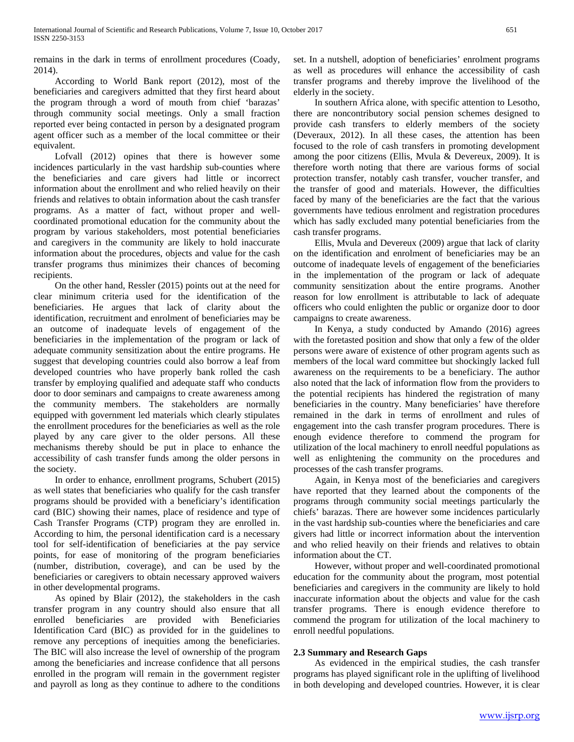remains in the dark in terms of enrollment procedures (Coady, 2014).

 According to World Bank report (2012), most of the beneficiaries and caregivers admitted that they first heard about the program through a word of mouth from chief 'barazas' through community social meetings. Only a small fraction reported ever being contacted in person by a designated program agent officer such as a member of the local committee or their equivalent.

 Lofvall (2012) opines that there is however some incidences particularly in the vast hardship sub-counties where the beneficiaries and care givers had little or incorrect information about the enrollment and who relied heavily on their friends and relatives to obtain information about the cash transfer programs. As a matter of fact, without proper and wellcoordinated promotional education for the community about the program by various stakeholders, most potential beneficiaries and caregivers in the community are likely to hold inaccurate information about the procedures, objects and value for the cash transfer programs thus minimizes their chances of becoming recipients.

 On the other hand, Ressler (2015) points out at the need for clear minimum criteria used for the identification of the beneficiaries. He argues that lack of clarity about the identification, recruitment and enrolment of beneficiaries may be an outcome of inadequate levels of engagement of the beneficiaries in the implementation of the program or lack of adequate community sensitization about the entire programs. He suggest that developing countries could also borrow a leaf from developed countries who have properly bank rolled the cash transfer by employing qualified and adequate staff who conducts door to door seminars and campaigns to create awareness among the community members. The stakeholders are normally equipped with government led materials which clearly stipulates the enrollment procedures for the beneficiaries as well as the role played by any care giver to the older persons. All these mechanisms thereby should be put in place to enhance the accessibility of cash transfer funds among the older persons in the society.

 In order to enhance, enrollment programs, Schubert (2015) as well states that beneficiaries who qualify for the cash transfer programs should be provided with a beneficiary's identification card (BIC) showing their names, place of residence and type of Cash Transfer Programs (CTP) program they are enrolled in. According to him, the personal identification card is a necessary tool for self-identification of beneficiaries at the pay service points, for ease of monitoring of the program beneficiaries (number, distribution, coverage), and can be used by the beneficiaries or caregivers to obtain necessary approved waivers in other developmental programs.

 As opined by Blair (2012), the stakeholders in the cash transfer program in any country should also ensure that all enrolled beneficiaries are provided with Beneficiaries Identification Card (BIC) as provided for in the guidelines to remove any perceptions of inequities among the beneficiaries. The BIC will also increase the level of ownership of the program among the beneficiaries and increase confidence that all persons enrolled in the program will remain in the government register and payroll as long as they continue to adhere to the conditions set. In a nutshell, adoption of beneficiaries' enrolment programs as well as procedures will enhance the accessibility of cash transfer programs and thereby improve the livelihood of the elderly in the society.

 In southern Africa alone, with specific attention to Lesotho, there are noncontributory social pension schemes designed to provide cash transfers to elderly members of the society (Deveraux, 2012). In all these cases, the attention has been focused to the role of cash transfers in promoting development among the poor citizens (Ellis, Mvula & Devereux, 2009). It is therefore worth noting that there are various forms of social protection transfer, notably cash transfer, voucher transfer, and the transfer of good and materials. However, the difficulties faced by many of the beneficiaries are the fact that the various governments have tedious enrolment and registration procedures which has sadly excluded many potential beneficiaries from the cash transfer programs.

 Ellis, Mvula and Devereux (2009) argue that lack of clarity on the identification and enrolment of beneficiaries may be an outcome of inadequate levels of engagement of the beneficiaries in the implementation of the program or lack of adequate community sensitization about the entire programs. Another reason for low enrollment is attributable to lack of adequate officers who could enlighten the public or organize door to door campaigns to create awareness.

 In Kenya, a study conducted by Amando (2016) agrees with the foretasted position and show that only a few of the older persons were aware of existence of other program agents such as members of the local ward committee but shockingly lacked full awareness on the requirements to be a beneficiary. The author also noted that the lack of information flow from the providers to the potential recipients has hindered the registration of many beneficiaries in the country. Many beneficiaries' have therefore remained in the dark in terms of enrollment and rules of engagement into the cash transfer program procedures. There is enough evidence therefore to commend the program for utilization of the local machinery to enroll needful populations as well as enlightening the community on the procedures and processes of the cash transfer programs.

 Again, in Kenya most of the beneficiaries and caregivers have reported that they learned about the components of the programs through community social meetings particularly the chiefs' barazas. There are however some incidences particularly in the vast hardship sub-counties where the beneficiaries and care givers had little or incorrect information about the intervention and who relied heavily on their friends and relatives to obtain information about the CT.

 However, without proper and well-coordinated promotional education for the community about the program, most potential beneficiaries and caregivers in the community are likely to hold inaccurate information about the objects and value for the cash transfer programs. There is enough evidence therefore to commend the program for utilization of the local machinery to enroll needful populations.

## **2.3 Summary and Research Gaps**

 As evidenced in the empirical studies, the cash transfer programs has played significant role in the uplifting of livelihood in both developing and developed countries. However, it is clear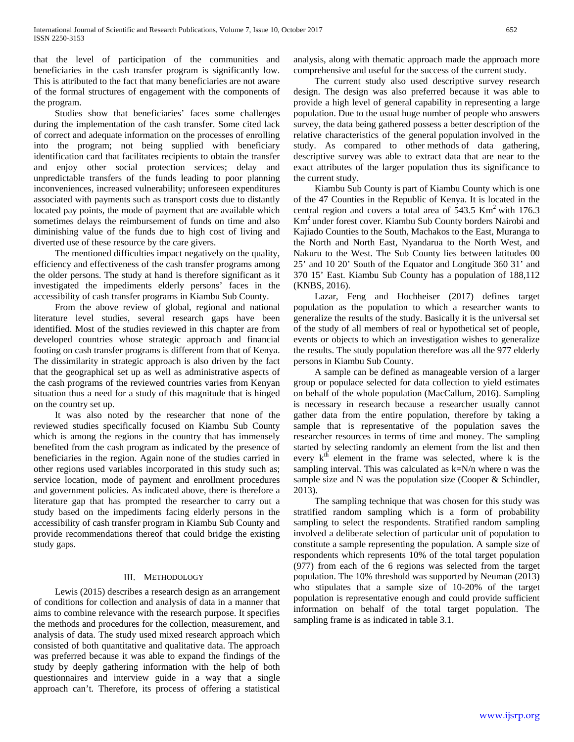that the level of participation of the communities and beneficiaries in the cash transfer program is significantly low. This is attributed to the fact that many beneficiaries are not aware of the formal structures of engagement with the components of the program.

 Studies show that beneficiaries' faces some challenges during the implementation of the cash transfer. Some cited lack of correct and adequate information on the processes of enrolling into the program; not being supplied with beneficiary identification card that facilitates recipients to obtain the transfer and enjoy other social protection services; delay and unpredictable transfers of the funds leading to poor planning inconveniences, increased vulnerability; unforeseen expenditures associated with payments such as transport costs due to distantly located pay points, the mode of payment that are available which sometimes delays the reimbursement of funds on time and also diminishing value of the funds due to high cost of living and diverted use of these resource by the care givers.

 The mentioned difficulties impact negatively on the quality, efficiency and effectiveness of the cash transfer programs among the older persons. The study at hand is therefore significant as it investigated the impediments elderly persons' faces in the accessibility of cash transfer programs in Kiambu Sub County.

 From the above review of global, regional and national literature level studies, several research gaps have been identified. Most of the studies reviewed in this chapter are from developed countries whose strategic approach and financial footing on cash transfer programs is different from that of Kenya. The dissimilarity in strategic approach is also driven by the fact that the geographical set up as well as administrative aspects of the cash programs of the reviewed countries varies from Kenyan situation thus a need for a study of this magnitude that is hinged on the country set up.

 It was also noted by the researcher that none of the reviewed studies specifically focused on Kiambu Sub County which is among the regions in the country that has immensely benefited from the cash program as indicated by the presence of beneficiaries in the region. Again none of the studies carried in other regions used variables incorporated in this study such as; service location, mode of payment and enrollment procedures and government policies. As indicated above, there is therefore a literature gap that has prompted the researcher to carry out a study based on the impediments facing elderly persons in the accessibility of cash transfer program in Kiambu Sub County and provide recommendations thereof that could bridge the existing study gaps.

## III. METHODOLOGY

 Lewis (2015) describes a research design as an arrangement of conditions for collection and analysis of data in a manner that aims to combine relevance with the research purpose. It specifies the methods and procedures for the collection, measurement, and analysis of data. The study used mixed research approach which consisted of both quantitative and qualitative data. The approach was preferred because it was able to expand the findings of the study by deeply gathering information with the help of both questionnaires and interview guide in a way that a single approach can't. Therefore, its process of offering a statistical analysis, along with thematic approach made the approach more comprehensive and useful for the success of the current study.

 The current study also used descriptive survey research design. The design was also preferred because it was able to provide a high level of general capability in representing a large population. Due to the usual huge number of people who answers survey, the data being gathered possess a better description of the relative characteristics of the general population involved in the study. As compared to other methods of data gathering, descriptive survey was able to extract data that are near to the exact attributes of the larger population thus its significance to the current study.

 Kiambu Sub County is part of Kiambu County which is one of the 47 Counties in the Republic of Kenya. It is located in the central region and covers a total area of  $543.5 \text{ Km}^2$  with 176.3 Km2 under forest cover. Kiambu Sub County borders Nairobi and Kajiado Counties to the South, Machakos to the East, Muranga to the North and North East, Nyandarua to the North West, and Nakuru to the West. The Sub County lies between latitudes 00 25' and 10 20' South of the Equator and Longitude 360 31' and 370 15' East. Kiambu Sub County has a population of 188,112 (KNBS, 2016).

 Lazar, Feng and Hochheiser (2017) defines target population as the population to which a researcher wants to generalize the results of the study. Basically it is the universal set of the study of all members of real or hypothetical set of people, events or objects to which an investigation wishes to generalize the results. The study population therefore was all the 977 elderly persons in Kiambu Sub County.

 A sample can be defined as manageable version of a larger group or populace selected for data collection to yield estimates on behalf of the whole population (MacCallum, 2016). Sampling is necessary in research because a researcher usually cannot gather data from the entire population, therefore by taking a sample that is representative of the population saves the researcher resources in terms of time and money. The sampling started by selecting randomly an element from the list and then every  $k<sup>th</sup>$  element in the frame was selected, where k is the sampling interval. This was calculated as k=N/n where n was the sample size and N was the population size (Cooper & Schindler, 2013).

 The sampling technique that was chosen for this study was stratified random sampling which is a form of probability sampling to select the respondents. Stratified random sampling involved a deliberate selection of particular unit of population to constitute a sample representing the population. A sample size of respondents which represents 10% of the total target population (977) from each of the 6 regions was selected from the target population. The 10% threshold was supported by Neuman (2013) who stipulates that a sample size of 10-20% of the target population is representative enough and could provide sufficient information on behalf of the total target population. The sampling frame is as indicated in table 3.1.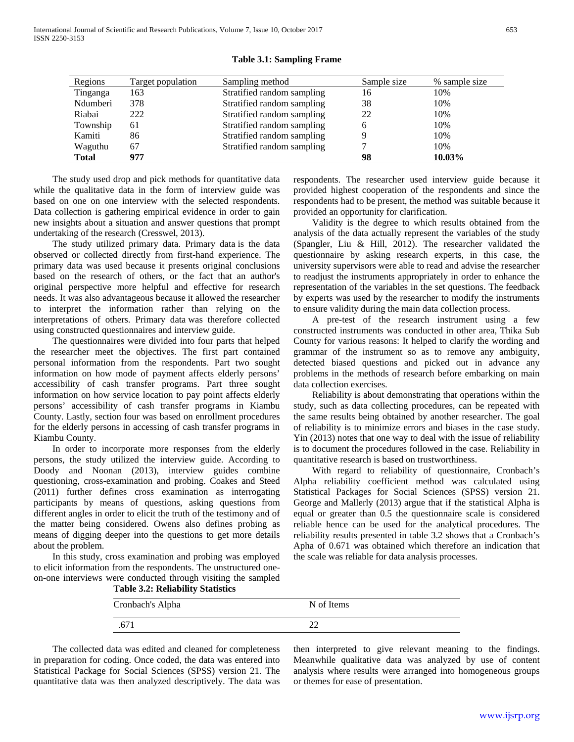International Journal of Scientific and Research Publications, Volume 7, Issue 10, October 2017 653 ISSN 2250-3153

| Regions      | Target population | Sampling method            | Sample size | % sample size |
|--------------|-------------------|----------------------------|-------------|---------------|
| Tinganga     | 163               | Stratified random sampling | 16          | 10%           |
| Ndumberi     | 378               | Stratified random sampling | 38          | 10%           |
| Riabai       | 222               | Stratified random sampling | 22          | 10%           |
| Township     | 61                | Stratified random sampling | h           | 10%           |
| Kamiti       | 86                | Stratified random sampling |             | 10%           |
| Waguthu      | 67                | Stratified random sampling |             | 10%           |
| <b>Total</b> | 977               |                            | 98          | 10.03%        |

**Table 3.1: Sampling Frame**

 The study used drop and pick methods for quantitative data while the qualitative data in the form of interview guide was based on one on one interview with the selected respondents. Data collection is gathering empirical evidence in order to gain new insights about a situation and answer questions that prompt undertaking of the research (Cresswel, 2013).

 The study utilized primary data. Primary data is the data observed or collected directly from first-hand experience. The primary data was used because it presents original conclusions based on the research of others, or the fact that an author's original perspective more helpful and effective for research needs. It was also advantageous because it allowed the researcher to interpret the information rather than relying on the interpretations of others. Primary data was therefore collected using constructed questionnaires and interview guide.

 The questionnaires were divided into four parts that helped the researcher meet the objectives. The first part contained personal information from the respondents. Part two sought information on how mode of payment affects elderly persons' accessibility of cash transfer programs. Part three sought information on how service location to pay point affects elderly persons' accessibility of cash transfer programs in Kiambu County. Lastly, section four was based on enrollment procedures for the elderly persons in accessing of cash transfer programs in Kiambu County.

 In order to incorporate more responses from the elderly persons, the study utilized the interview guide. According to Doody and Noonan (2013), interview guides combine questioning, cross-examination and probing. Coakes and Steed (2011) further defines cross examination as interrogating participants by means of questions, asking questions from different angles in order to elicit the truth of the testimony and of the matter being considered. Owens also defines probing as means of digging deeper into the questions to get more details about the problem.

 In this study, cross examination and probing was employed to elicit information from the respondents. The unstructured oneon-one interviews were conducted through visiting the sampled **Table 3.2: Reliability Statistics**

respondents. The researcher used interview guide because it provided highest cooperation of the respondents and since the respondents had to be present, the method was suitable because it provided an opportunity for clarification.

 Validity is the degree to which results obtained from the analysis of the data actually represent the variables of the study (Spangler, Liu & Hill, 2012). The researcher validated the questionnaire by asking research experts, in this case, the university supervisors were able to read and advise the researcher to readjust the instruments appropriately in order to enhance the representation of the variables in the set questions. The feedback by experts was used by the researcher to modify the instruments to ensure validity during the main data collection process.

 A pre-test of the research instrument using a few constructed instruments was conducted in other area, Thika Sub County for various reasons: It helped to clarify the wording and grammar of the instrument so as to remove any ambiguity, detected biased questions and picked out in advance any problems in the methods of research before embarking on main data collection exercises.

 Reliability is about demonstrating that operations within the study, such as data collecting procedures, can be repeated with the same results being obtained by another researcher. The goal of reliability is to minimize errors and biases in the case study. Yin (2013) notes that one way to deal with the issue of reliability is to document the procedures followed in the case. Reliability in quantitative research is based on trustworthiness.

 With regard to reliability of questionnaire, Cronbach's Alpha reliability coefficient method was calculated using Statistical Packages for Social Sciences (SPSS) version 21. George and Mallerly (2013) argue that if the statistical Alpha is equal or greater than 0.5 the questionnaire scale is considered reliable hence can be used for the analytical procedures. The reliability results presented in table 3.2 shows that a Cronbach's Apha of 0.671 was obtained which therefore an indication that the scale was reliable for data analysis processes.

| Cronbach's Alpha | N of Items |
|------------------|------------|
| .671             |            |

 The collected data was edited and cleaned for completeness in preparation for coding. Once coded, the data was entered into Statistical Package for Social Sciences (SPSS) version 21. The quantitative data was then analyzed descriptively. The data was then interpreted to give relevant meaning to the findings. Meanwhile qualitative data was analyzed by use of content analysis where results were arranged into homogeneous groups or themes for ease of presentation.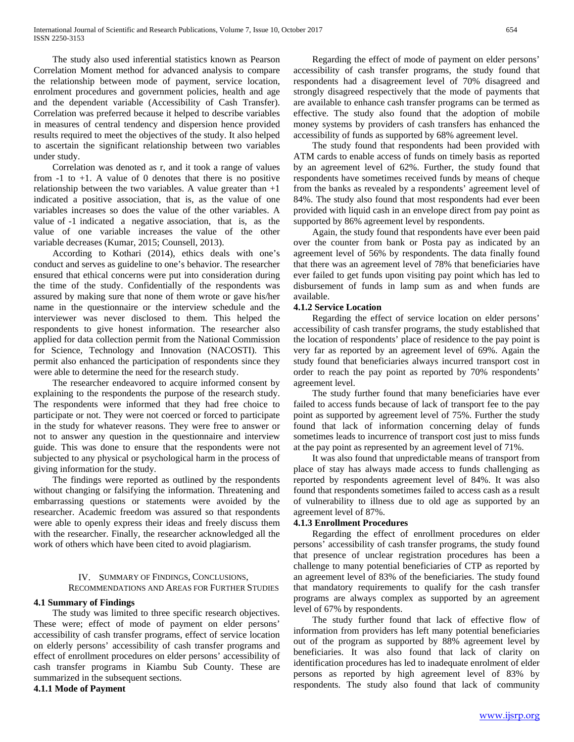The study also used inferential statistics known as Pearson Correlation Moment method for advanced analysis to compare the relationship between mode of payment, service location, enrolment procedures and government policies, health and age and the dependent variable (Accessibility of Cash Transfer). Correlation was preferred because it helped to describe variables in measures of central tendency and dispersion hence provided results required to meet the objectives of the study. It also helped to ascertain the significant relationship between two variables under study.

 Correlation was denoted as r, and it took a range of values from  $-1$  to  $+1$ . A value of 0 denotes that there is no positive relationship between the two variables. A value greater than  $+1$ indicated a positive association, that is, as the value of one variables increases so does the value of the other variables. A value of -1 indicated a negative association, that is, as the value of one variable increases the value of the other variable decreases (Kumar, 2015; Counsell, 2013).

 According to Kothari (2014), ethics deals with one's conduct and serves as guideline to one's behavior. The researcher ensured that ethical concerns were put into consideration during the time of the study. Confidentially of the respondents was assured by making sure that none of them wrote or gave his/her name in the questionnaire or the interview schedule and the interviewer was never disclosed to them. This helped the respondents to give honest information. The researcher also applied for data collection permit from the National Commission for Science, Technology and Innovation (NACOSTI). This permit also enhanced the participation of respondents since they were able to determine the need for the research study.

 The researcher endeavored to acquire informed consent by explaining to the respondents the purpose of the research study. The respondents were informed that they had free choice to participate or not. They were not coerced or forced to participate in the study for whatever reasons. They were free to answer or not to answer any question in the questionnaire and interview guide. This was done to ensure that the respondents were not subjected to any physical or psychological harm in the process of giving information for the study.

 The findings were reported as outlined by the respondents without changing or falsifying the information. Threatening and embarrassing questions or statements were avoided by the researcher. Academic freedom was assured so that respondents were able to openly express their ideas and freely discuss them with the researcher. Finally, the researcher acknowledged all the work of others which have been cited to avoid plagiarism.

# IV. SUMMARY OF FINDINGS, CONCLUSIONS,

RECOMMENDATIONS AND AREAS FOR FURTHER STUDIES

# **4.1 Summary of Findings**

 The study was limited to three specific research objectives. These were; effect of mode of payment on elder persons' accessibility of cash transfer programs, effect of service location on elderly persons' accessibility of cash transfer programs and effect of enrollment procedures on elder persons' accessibility of cash transfer programs in Kiambu Sub County. These are summarized in the subsequent sections.

**4.1.1 Mode of Payment** 

 Regarding the effect of mode of payment on elder persons' accessibility of cash transfer programs, the study found that respondents had a disagreement level of 70% disagreed and strongly disagreed respectively that the mode of payments that are available to enhance cash transfer programs can be termed as effective. The study also found that the adoption of mobile money systems by providers of cash transfers has enhanced the accessibility of funds as supported by 68% agreement level.

 The study found that respondents had been provided with ATM cards to enable access of funds on timely basis as reported by an agreement level of 62%. Further, the study found that respondents have sometimes received funds by means of cheque from the banks as revealed by a respondents' agreement level of 84%. The study also found that most respondents had ever been provided with liquid cash in an envelope direct from pay point as supported by 86% agreement level by respondents.

 Again, the study found that respondents have ever been paid over the counter from bank or Posta pay as indicated by an agreement level of 56% by respondents. The data finally found that there was an agreement level of 78% that beneficiaries have ever failed to get funds upon visiting pay point which has led to disbursement of funds in lamp sum as and when funds are available.

## **4.1.2 Service Location**

 Regarding the effect of service location on elder persons' accessibility of cash transfer programs, the study established that the location of respondents' place of residence to the pay point is very far as reported by an agreement level of 69%. Again the study found that beneficiaries always incurred transport cost in order to reach the pay point as reported by 70% respondents' agreement level.

 The study further found that many beneficiaries have ever failed to access funds because of lack of transport fee to the pay point as supported by agreement level of 75%. Further the study found that lack of information concerning delay of funds sometimes leads to incurrence of transport cost just to miss funds at the pay point as represented by an agreement level of 71%.

 It was also found that unpredictable means of transport from place of stay has always made access to funds challenging as reported by respondents agreement level of 84%. It was also found that respondents sometimes failed to access cash as a result of vulnerability to illness due to old age as supported by an agreement level of 87%.

## **4.1.3 Enrollment Procedures**

 Regarding the effect of enrollment procedures on elder persons' accessibility of cash transfer programs, the study found that presence of unclear registration procedures has been a challenge to many potential beneficiaries of CTP as reported by an agreement level of 83% of the beneficiaries. The study found that mandatory requirements to qualify for the cash transfer programs are always complex as supported by an agreement level of 67% by respondents.

 The study further found that lack of effective flow of information from providers has left many potential beneficiaries out of the program as supported by 88% agreement level by beneficiaries. It was also found that lack of clarity on identification procedures has led to inadequate enrolment of elder persons as reported by high agreement level of 83% by respondents. The study also found that lack of community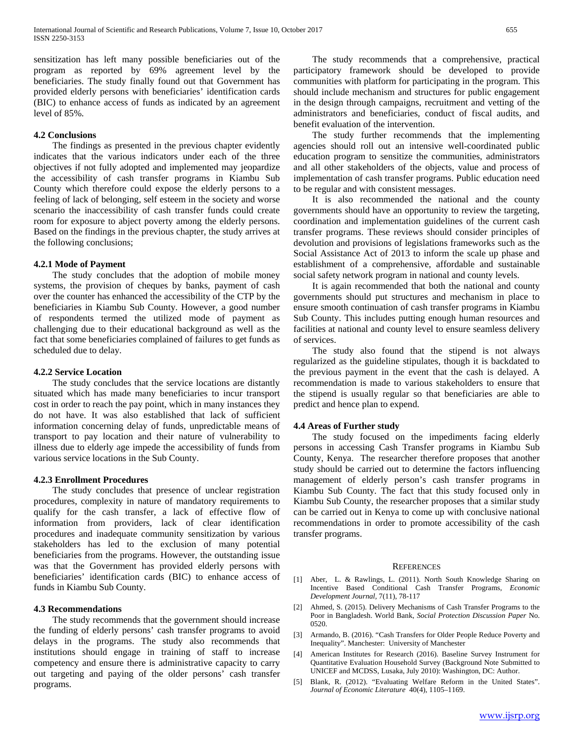sensitization has left many possible beneficiaries out of the program as reported by 69% agreement level by the beneficiaries. The study finally found out that Government has provided elderly persons with beneficiaries' identification cards (BIC) to enhance access of funds as indicated by an agreement level of 85%.

#### **4.2 Conclusions**

 The findings as presented in the previous chapter evidently indicates that the various indicators under each of the three objectives if not fully adopted and implemented may jeopardize the accessibility of cash transfer programs in Kiambu Sub County which therefore could expose the elderly persons to a feeling of lack of belonging, self esteem in the society and worse scenario the inaccessibility of cash transfer funds could create room for exposure to abject poverty among the elderly persons. Based on the findings in the previous chapter, the study arrives at the following conclusions;

#### **4.2.1 Mode of Payment**

 The study concludes that the adoption of mobile money systems, the provision of cheques by banks, payment of cash over the counter has enhanced the accessibility of the CTP by the beneficiaries in Kiambu Sub County. However, a good number of respondents termed the utilized mode of payment as challenging due to their educational background as well as the fact that some beneficiaries complained of failures to get funds as scheduled due to delay.

#### **4.2.2 Service Location**

 The study concludes that the service locations are distantly situated which has made many beneficiaries to incur transport cost in order to reach the pay point, which in many instances they do not have. It was also established that lack of sufficient information concerning delay of funds, unpredictable means of transport to pay location and their nature of vulnerability to illness due to elderly age impede the accessibility of funds from various service locations in the Sub County.

#### **4.2.3 Enrollment Procedures**

 The study concludes that presence of unclear registration procedures, complexity in nature of mandatory requirements to qualify for the cash transfer, a lack of effective flow of information from providers, lack of clear identification procedures and inadequate community sensitization by various stakeholders has led to the exclusion of many potential beneficiaries from the programs. However, the outstanding issue was that the Government has provided elderly persons with beneficiaries' identification cards (BIC) to enhance access of funds in Kiambu Sub County.

#### **4.3 Recommendations**

 The study recommends that the government should increase the funding of elderly persons' cash transfer programs to avoid delays in the programs. The study also recommends that institutions should engage in training of staff to increase competency and ensure there is administrative capacity to carry out targeting and paying of the older persons' cash transfer programs.

 The study recommends that a comprehensive, practical participatory framework should be developed to provide communities with platform for participating in the program. This should include mechanism and structures for public engagement in the design through campaigns, recruitment and vetting of the administrators and beneficiaries, conduct of fiscal audits, and benefit evaluation of the intervention.

 The study further recommends that the implementing agencies should roll out an intensive well-coordinated public education program to sensitize the communities, administrators and all other stakeholders of the objects, value and process of implementation of cash transfer programs. Public education need to be regular and with consistent messages.

 It is also recommended the national and the county governments should have an opportunity to review the targeting, coordination and implementation guidelines of the current cash transfer programs. These reviews should consider principles of devolution and provisions of legislations frameworks such as the Social Assistance Act of 2013 to inform the scale up phase and establishment of a comprehensive, affordable and sustainable social safety network program in national and county levels.

 It is again recommended that both the national and county governments should put structures and mechanism in place to ensure smooth continuation of cash transfer programs in Kiambu Sub County. This includes putting enough human resources and facilities at national and county level to ensure seamless delivery of services.

 The study also found that the stipend is not always regularized as the guideline stipulates, though it is backdated to the previous payment in the event that the cash is delayed. A recommendation is made to various stakeholders to ensure that the stipend is usually regular so that beneficiaries are able to predict and hence plan to expend.

#### **4.4 Areas of Further study**

 The study focused on the impediments facing elderly persons in accessing Cash Transfer programs in Kiambu Sub County, Kenya. The researcher therefore proposes that another study should be carried out to determine the factors influencing management of elderly person's cash transfer programs in Kiambu Sub County. The fact that this study focused only in Kiambu Sub County, the researcher proposes that a similar study can be carried out in Kenya to come up with conclusive national recommendations in order to promote accessibility of the cash transfer programs.

#### **REFERENCES**

- [1] Aber, L. & Rawlings, L. (2011). North South Knowledge Sharing on Incentive Based Conditional Cash Transfer Programs, *Economic Development Journal,* 7(11), 78-117
- [2] Ahmed, S. (2015). Delivery Mechanisms of Cash Transfer Programs to the Poor in Bangladesh. World Bank, *Social Protection Discussion Paper* No. 0520.
- [3] Armando, B. (2016). "Cash Transfers for Older People Reduce Poverty and Inequality". Manchester: University of Manchester
- [4] American Institutes for Research (2016). Baseline Survey Instrument for Quantitative Evaluation Household Survey (Background Note Submitted to UNICEF and MCDSS, Lusaka, July 2010): Washington, DC: Author.
- [5] Blank, R. (2012). "Evaluating Welfare Reform in the United States". *Journal of Economic Literature* 40(4), 1105–1169.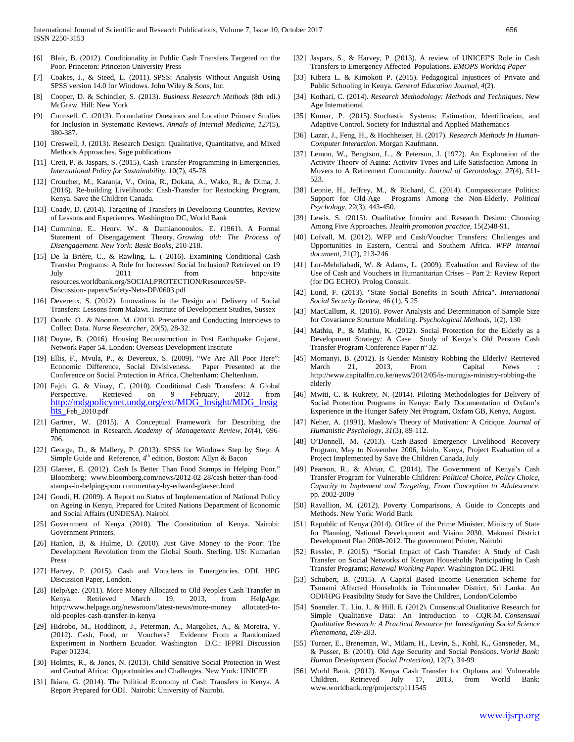- [6] Blair, B. (2012). Conditionality in Public Cash Transfers Targeted on the Poor. Princeton: Princeton University Press
- [7] Coakes, J., & Steed, L. (2011). SPSS: Analysis Without Anguish Using SPSS version 14.0 for Windows. John Wiley & Sons, Inc.
- [8] Cooper, D. & Schindler, S. (2013). *Business Research Methods* (8th edi.) McGraw Hill: New York
- [9] Counsell, C. (2013). Formulating Questions and Locating Primary Studies for Inclusion in Systematic Reviews. *Annals of Internal Medicine*, *127*(5), 380-387.
- [10] Creswell, J. (2013). Research Design: Qualitative, Quantitative, and Mixed Methods Approaches. Sage publications
- [11] Creti, P. & Jaspars, S. (2015). Cash-Transfer Programming in Emergencies, *International Policy for Sustainability*, 10(7), 45-78
- [12] Croucher, M., Karanja, V., Orina, R., Dokata, A., Wako, R., & Dima, J. (2016). Re-building Livelihoods: Cash-Transfer for Restocking Program, Kenya. Save the Children Canada.
- [13] Coady, D. (2014). Targeting of Transfers in Developing Countries, Review of Lessons and Experiences. Washington DC, World Bank
- [14] Cumming, E., Henry, W., & Damianopoulos, E. (1961). A Formal Statement of Disengagement Theory. *Growing old: The Process of Disengagement. New York: Basic Books*, 210-218.
- [15] De la Brière, C., & Rawling, L. ( 2016). Examining Conditional Cash Transfer Programs: A Role for Increased Social Inclusion? Retrieved on 19 July 2011 from http://site resources.worldbank.org/SOCIALPROTECTION/Resources/SP-Discussion- papers/Safety-Nets-DP/0603.pdf
- [16] Devereux, S. (2012). Innovations in the Design and Delivery of Social Transfers: Lessons from Malawi. Institute of Development Studies, Sussex
- [17] Doody, O., & Noonan, M. (2013). Prenaring and Conducting Interviews to Collect Data. *Nurse Researcher*, 20(5), 28-32.
- [18] Duyne, B. (2016). Housing Reconstruction in Post Earthquake Gujarat, Network Paper 54. London: Overseas Development Institute
- [19] Ellis, F., Mvula, P., & Devereux, S. (2009). "We Are All Poor Here": Economic Difference, Social Divisiveness. Paper Presented at the Conference on Social Protection in Africa. Cheltenham: Cheltenham.
- [20] Fajth, G. & Vinay, C. (2010). Conditional Cash Transfers: A Global Perspective. Retrieved on 9 February, 2012 from [http://mdgpolicynet.undg.org/ext/MDG\\_Insight/MDG\\_Insig](http://mdgpolicynet.undg.org/ext/MDG_Insight/MDG_Insights_) [hts\\_F](http://mdgpolicynet.undg.org/ext/MDG_Insight/MDG_Insights_)eb\_2010.pdf
- [21] Gartner, W. (2015). A Conceptual Framework for Describing the Phenomenon in Research. *Academy of Management Review*, *10*(4), 696- 706.
- [22] George, D., & Mallery, P. (2013). SPSS for Windows Step by Step: A Simple Guide and Reference,  $4<sup>th</sup>$  edition, Boston: Allyn & Bacon
- [23] Glaeser, E. (2012). Cash Is Better Than Food Stamps in Helping Poor." Bloomberg: www.bloomberg.com/news/2012-02-28/cash-better-than-foodstamps-in-helping-poor commentary-by-edward-glaeser.html
- [24] Gondi, H. (2009). A Report on Status of Implementation of National Policy on Ageing in Kenya, Prepared for United Nations Department of Economic and Social Affairs (UNDESA). Nairobi
- [25] Government of Kenya (2010). The Constitution of Kenya. Nairobi: Government Printers.
- [26] Hanlon, B, & Hulme, D. (2010). Just Give Money to the Poor: The Development Revolution from the Global South. Sterling. US: Kumarian Press
- [27] Harvey, P. (2015). Cash and Vouchers in Emergencies. ODI, HPG Discussion Paper, London.
- [28] HelpAge. (2011). More Money Allocated to Old Peoples Cash Transfer in Kenya. Retrieved March 19, 2013, from HelpAge: http://www.helpage.org/newsroom/latest-news/more-money allocated-toold-peoples-cash-transfer-in-kenya
- [29] Hidrobo, M., Hoddinott, J., Peterman, A., Margolies, A., & Moreira, V. (2012). Cash, Food, or Vouchers? Evidence From a Randomized Experiment in Northern Ecuador. Washington D.C.: IFPRI Discussion Paper 01234.
- [30] Holmes, R., & Jones, N. (2013). Child Sensitive Social Protection in West and Central Africa: Opportunities and Challenges. New York: UNICEF
- [31] Ikiara, G. (2014). The Political Economy of Cash Transfers in Kenya. A Report Prepared for ODI. Nairobi: University of Nairobi.
- [32] Jaspars, S., & Harvey, P. (2013). A review of UNICEF'S Role in Cash Transfers to Emergency Affected Populations. *EMOPS Working Paper*
- [33] Kibera L. & Kimokoti P. (2015). Pedagogical Injustices of Private and Public Schooling in Kenya. *General Education Journal*, *4*(2).
- [34] Kothari, C. (2014). *Research Methodology: Methods and Techniques*. New Age International.
- [35] Kumar, P. (2015). Stochastic Systems: Estimation, Identification, and Adaptive Control. Society for Industrial and Applied Mathematics
- [36] Lazar, J., Feng, H., & Hochheiser, H. (2017). *Research Methods In Human-Computer Interaction*. Morgan Kaufmann.
- [37] Lemon, W., Bengtson, L., & Peterson, J. (1972). An Exploration of the Activity Theory of Aging: Activity Types and Life Satisfaction Among In-Movers to A Retirement Community. *Journal of Gerontology*, *27*(4), 511- 523.
- [38] Leonie, H., Jeffrey, M., & Richard, C. (2014). Compassionate Politics: Support for Old-Age Programs Among the Non-Elderly. *Political Psychology,* 22(3), 443-450.
- [39] Lewis, S. (2015). Qualitative Inquiry and Research Design: Choosing Among Five Approaches. *Health promotion practice*, 15(2)48-91.
- [40] Lofvall, M. (2012). WFP and Cash/Voucher Transfers: Challenges and Opportunities in Eastern, Central and Southern Africa. *WFP internal document,* 21(2), 213-246
- [41] Lor-Mehdiabadi, W. & Adams, L. (2009). Evaluation and Review of the Use of Cash and Vouchers in Humanitarian Crises – Part 2: Review Report (for DG ECHO). Prolog Consult.
- [42] Lund, F. (2013). "State Social Benefits in South Africa". *International Social Security Review*, 46 (1), 5 25
- [43] MacCallum, R. (2016). Power Analysis and Determination of Sample Size for Covariance Structure Modeling. *Psychological Methods,* 1(2), 130
- [44] Mathiu, P., & Mathiu, K. (2012). Social Protection for the Elderly as a Development Strategy: A Case Study of Kenya's Old Persons Cash Transfer Program Conference Paper nº 32.
- [45] Momanyi, B. (2012). Is Gender Ministry Robbing the Elderly? Retrieved March 21, 2013, From Capital News : http://www.capitalfm.co.ke/news/2012/05/is-murugis-ministry-robbing-the elderly
- [46] Mwiti, C. & Kukrety, N. (2014). Piloting Methodologies for Delivery of Social Protection Programs in Kenya: Early Documentation of Oxfam's Experience in the Hunger Safety Net Program, Oxfam GB, Kenya, August.
- [47] Neher, A. (1991). Maslow's Theory of Motivation: A Critique. *Journal of Humanistic Psychology*, *31*(3), 89-112.
- [48] O'Donnell, M. (2013). Cash-Based Emergency Livelihood Recovery Program, May to November 2006, Isiolo, Kenya, Project Evaluation of a Project Implemented by Save the Children Canada, July
- [49] Pearson, R., & Alviar, C. (2014). The Government of Kenya's Cash Transfer Program for Vulnerable Children: *Political Choice, Policy Choice, Capacity to Implement and Targeting, From Conception to Adolescence*. pp. 2002-2009
- [50] Ravallion, M. (2012). Poverty Comparisons, A Guide to Concepts and Methods. New York: World Bank
- [51] Republic of Kenya (2014). Office of the Prime Minister, Ministry of State for Planning, National Development and Vision 2030. Makueni District Development Plan 2008-2012. The government Printer, Nairobi
- [52] Ressler, P. (2015). "Social Impact of Cash Transfer: A Study of Cash Transfer on Social Networks of Kenyan Households Participating In Cash Transfer Programs; *Renewal Working Paper*. Washington DC, IFRI
- [53] Schubert, B. (2015). A Capital Based Income Generation Scheme for Tsunami Affected Households in Trincomalee District, Sri Lanka. An ODI/HPG Feasibility Study for Save the Children, London/Colombo
- [54] Snangler, T., Liu, J., & Hill, E. (2012). Consensual Qualitative Research for Simple Qualitative Data: An Introduction to CQR-M. *Consensual Qualitative Research: A Practical Resource for Investigating Social Science Phenomena*, 269-283.
- [55] Turner, E., Breneman, W., Milam, H., Levin, S., Kohl, K., Gansneder, M., & Pusser, B. (2010). Old Age Security and Social Pensions. *World Bank: Human Development (Social Protection),* 12(7), 34-99
- [56] World Bank. (2012). Kenya Cash Transfer for Orphans and Vulnerable Children. Retrieved July 17, 2013, from World Bank: www.worldbank.org/projects/p111545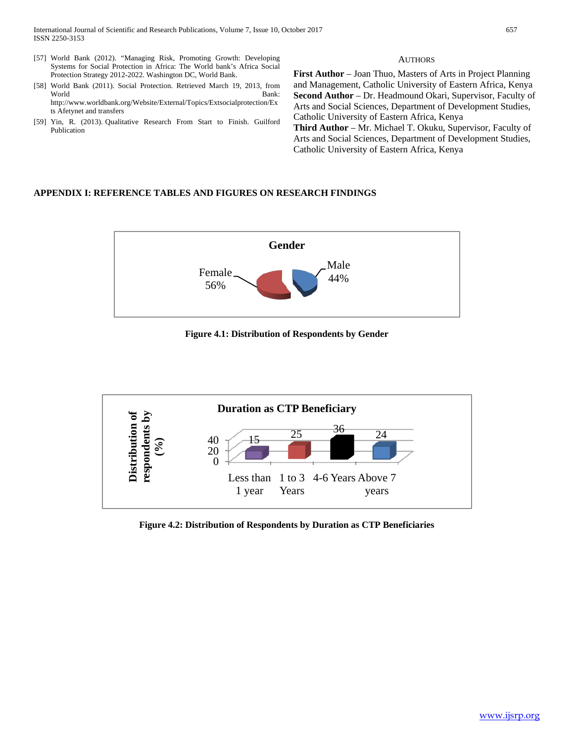- [57] World Bank (2012). "Managing Risk, Promoting Growth: Developing Systems for Social Protection in Africa: The World bank's Africa Social Protection Strategy 2012-2022. Washington DC, World Bank.
- [58] World Bank (2011). Social Protection. Retrieved March 19, 2013, from World Bank: http://www.worldbank.org/Website/External/Topics/Extsocialprotection/Ex ts Afetynet and transfers
- [59] Yin, R. (2013). Qualitative Research From Start to Finish. Guilford Publication

#### **AUTHORS**

**First Author** – Joan Thuo, Masters of Arts in Project Planning and Management, Catholic University of Eastern Africa, Kenya **Second Author** – Dr. Headmound Okari, Supervisor, Faculty of Arts and Social Sciences, Department of Development Studies, Catholic University of Eastern Africa, Kenya

**Third Author** – Mr. Michael T. Okuku, Supervisor, Faculty of Arts and Social Sciences, Department of Development Studies, Catholic University of Eastern Africa, Kenya

## **APPENDIX I: REFERENCE TABLES AND FIGURES ON RESEARCH FINDINGS**



**Figure 4.1: Distribution of Respondents by Gender**



**Figure 4.2: Distribution of Respondents by Duration as CTP Beneficiaries**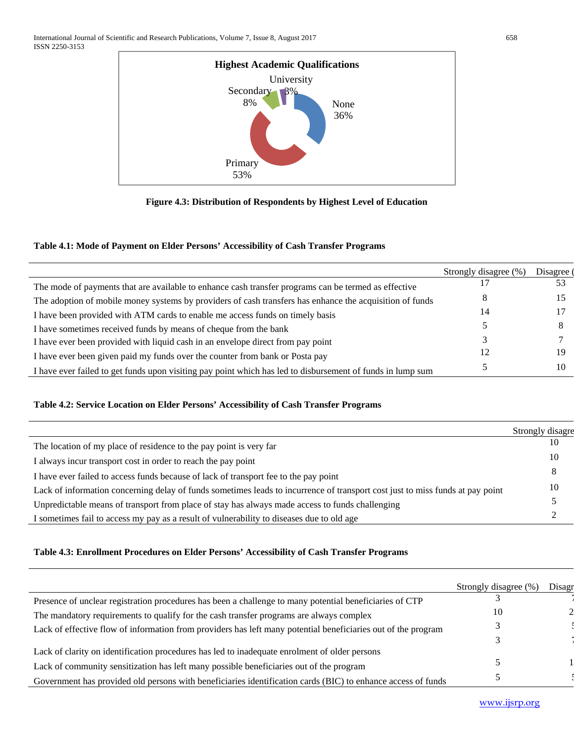

**Figure 4.3: Distribution of Respondents by Highest Level of Education**

## **Table 4.1: Mode of Payment on Elder Persons' Accessibility of Cash Transfer Programs**

|                                                                                                            | Strongly disagree (%) | Disagree ( |
|------------------------------------------------------------------------------------------------------------|-----------------------|------------|
| The mode of payments that are available to enhance cash transfer programs can be termed as effective       |                       | 53         |
| The adoption of mobile money systems by providers of cash transfers has enhance the acquisition of funds   |                       |            |
| I have been provided with ATM cards to enable me access funds on timely basis                              |                       |            |
| I have sometimes received funds by means of cheque from the bank                                           |                       |            |
| I have ever been provided with liquid cash in an envelope direct from pay point                            |                       |            |
| I have ever been given paid my funds over the counter from bank or Posta pay                               |                       | 19         |
| I have ever failed to get funds upon visiting pay point which has led to disbursement of funds in lump sum |                       | 10         |
|                                                                                                            |                       |            |

# **Table 4.2: Service Location on Elder Persons' Accessibility of Cash Transfer Programs**

|                                                                                                                               | Strongly disagre |
|-------------------------------------------------------------------------------------------------------------------------------|------------------|
| The location of my place of residence to the pay point is very far                                                            | 10               |
| I always incur transport cost in order to reach the pay point                                                                 | 10               |
| I have ever failed to access funds because of lack of transport fee to the pay point                                          |                  |
| Lack of information concerning delay of funds sometimes leads to incurrence of transport cost just to miss funds at pay point | 10               |
| Unpredictable means of transport from place of stay has always made access to funds challenging                               |                  |
| I sometimes fail to access my pay as a result of vulnerability to diseases due to old age                                     |                  |

# **Table 4.3: Enrollment Procedures on Elder Persons' Accessibility of Cash Transfer Programs**

|                                                                                                               | Strongly disagree (%) | Disagr |
|---------------------------------------------------------------------------------------------------------------|-----------------------|--------|
| Presence of unclear registration procedures has been a challenge to many potential beneficiaries of CTP       |                       |        |
| The mandatory requirements to qualify for the cash transfer programs are always complex                       | 10                    |        |
| Lack of effective flow of information from providers has left many potential beneficiaries out of the program |                       |        |
|                                                                                                               |                       |        |
| Lack of clarity on identification procedures has led to inadequate enrolment of older persons                 |                       |        |
| Lack of community sensitization has left many possible beneficiaries out of the program                       |                       |        |
| Government has provided old persons with beneficiaries identification cards (BIC) to enhance access of funds  |                       |        |

[www.ijsrp.org](http://ijsrp.org/)